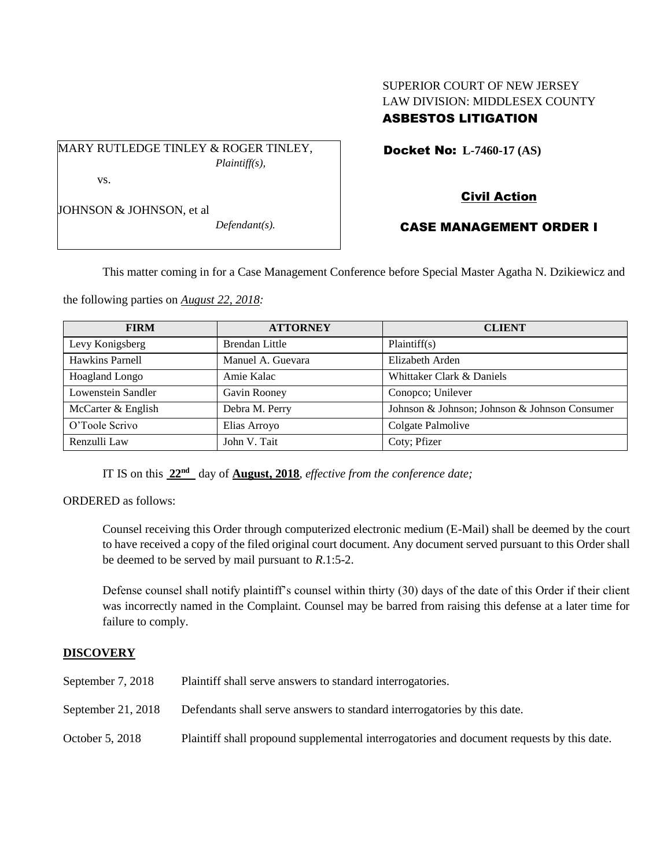# SUPERIOR COURT OF NEW JERSEY LAW DIVISION: MIDDLESEX COUNTY ASBESTOS LITIGATION

Docket No: **L-7460-17 (AS)** 

MARY RUTLEDGE TINLEY & ROGER TINLEY, *Plaintiff(s),*

vs.

JOHNSON & JOHNSON, et al

*Defendant(s).*

# Civil Action

## CASE MANAGEMENT ORDER I

This matter coming in for a Case Management Conference before Special Master Agatha N. Dzikiewicz and

the following parties on *August 22, 2018:*

| <b>FIRM</b>        | <b>ATTORNEY</b>       | <b>CLIENT</b>                                 |
|--------------------|-----------------------|-----------------------------------------------|
| Levy Konigsberg    | <b>Brendan Little</b> | Plaintiff(s)                                  |
| Hawkins Parnell    | Manuel A. Guevara     | Elizabeth Arden                               |
| Hoagland Longo     | Amie Kalac            | Whittaker Clark & Daniels                     |
| Lowenstein Sandler | Gavin Rooney          | Conopco; Unilever                             |
| McCarter & English | Debra M. Perry        | Johnson & Johnson; Johnson & Johnson Consumer |
| O'Toole Scrivo     | Elias Arroyo          | Colgate Palmolive                             |
| Renzulli Law       | John V. Tait          | Coty; Pfizer                                  |

IT IS on this **22nd** day of **August, 2018**, *effective from the conference date;*

ORDERED as follows:

Counsel receiving this Order through computerized electronic medium (E-Mail) shall be deemed by the court to have received a copy of the filed original court document. Any document served pursuant to this Order shall be deemed to be served by mail pursuant to *R*.1:5-2.

Defense counsel shall notify plaintiff's counsel within thirty (30) days of the date of this Order if their client was incorrectly named in the Complaint. Counsel may be barred from raising this defense at a later time for failure to comply.

## **DISCOVERY**

| September $7, 2018$ | Plaintiff shall serve answers to standard interrogatories.                                |
|---------------------|-------------------------------------------------------------------------------------------|
| September 21, 2018  | Defendants shall serve answers to standard interrogatories by this date.                  |
| October 5, 2018     | Plaintiff shall propound supplemental interrogatories and document requests by this date. |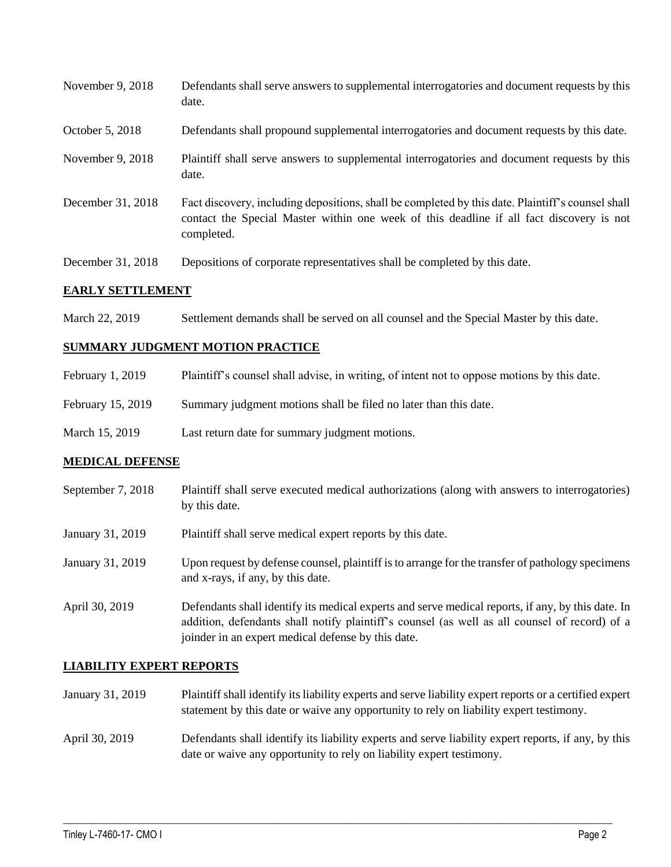| November 9, 2018  | Defendants shall serve answers to supplemental interrogatories and document requests by this<br>date.                                                                                                       |
|-------------------|-------------------------------------------------------------------------------------------------------------------------------------------------------------------------------------------------------------|
| October 5, 2018   | Defendants shall propound supplemental interrogatories and document requests by this date.                                                                                                                  |
| November 9, 2018  | Plaintiff shall serve answers to supplemental interrogatories and document requests by this<br>date.                                                                                                        |
| December 31, 2018 | Fact discovery, including depositions, shall be completed by this date. Plaintiff's counsel shall<br>contact the Special Master within one week of this deadline if all fact discovery is not<br>completed. |
| December 31, 2018 | Depositions of corporate representatives shall be completed by this date.                                                                                                                                   |

#### **EARLY SETTLEMENT**

March 22, 2019 Settlement demands shall be served on all counsel and the Special Master by this date.

#### **SUMMARY JUDGMENT MOTION PRACTICE**

| February 1, 2019  | Plaintiff's counsel shall advise, in writing, of intent not to oppose motions by this date. |
|-------------------|---------------------------------------------------------------------------------------------|
| February 15, 2019 | Summary judgment motions shall be filed no later than this date.                            |
| March 15, 2019    | Last return date for summary judgment motions.                                              |

## **MEDICAL DEFENSE**

- September 7, 2018 Plaintiff shall serve executed medical authorizations (along with answers to interrogatories) by this date.
- January 31, 2019 Plaintiff shall serve medical expert reports by this date.
- January 31, 2019 Upon request by defense counsel, plaintiff is to arrange for the transfer of pathology specimens and x-rays, if any, by this date.
- April 30, 2019 Defendants shall identify its medical experts and serve medical reports, if any, by this date. In addition, defendants shall notify plaintiff's counsel (as well as all counsel of record) of a joinder in an expert medical defense by this date.

#### **LIABILITY EXPERT REPORTS**

- January 31, 2019 Plaintiff shall identify its liability experts and serve liability expert reports or a certified expert statement by this date or waive any opportunity to rely on liability expert testimony.
- April 30, 2019 Defendants shall identify its liability experts and serve liability expert reports, if any, by this date or waive any opportunity to rely on liability expert testimony.

 $\_$  ,  $\_$  ,  $\_$  ,  $\_$  ,  $\_$  ,  $\_$  ,  $\_$  ,  $\_$  ,  $\_$  ,  $\_$  ,  $\_$  ,  $\_$  ,  $\_$  ,  $\_$  ,  $\_$  ,  $\_$  ,  $\_$  ,  $\_$  ,  $\_$  ,  $\_$  ,  $\_$  ,  $\_$  ,  $\_$  ,  $\_$  ,  $\_$  ,  $\_$  ,  $\_$  ,  $\_$  ,  $\_$  ,  $\_$  ,  $\_$  ,  $\_$  ,  $\_$  ,  $\_$  ,  $\_$  ,  $\_$  ,  $\_$  ,